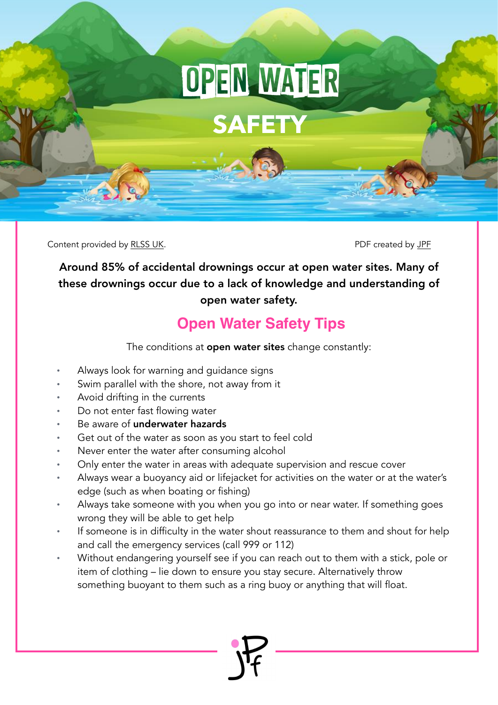## OPEN WATER

**SAFETY**

Content provided by [RLSS UK.](https://www.rlss.org.uk/Pages/Category/water-safety-information) PDF created by [JPF](https://www.jackpullenfoundation.org.uk/water-safety) created by JPF

Around 85% of accidental drownings occur at open water sites. Many of these drownings occur due to a lack of knowledge and understanding of open water safety.

## **Open Water Safety Tips**

The conditions at **open water sites** change constantly:

- Always look for warning and guidance signs
- Swim parallel with the shore, not away from it
- Avoid drifting in the currents
- Do not enter fast flowing water
- Be aware of underwater hazards
- Get out of the water as soon as you start to feel cold
- Never enter the water after consuming alcohol
- Only enter the water in areas with adequate supervision and rescue cover
- Always wear a buoyancy aid or lifejacket for activities on the water or at the water's edge (such as when boating or fishing)
- Always take someone with you when you go into or near water. If something goes wrong they will be able to get help
- If someone is in difficulty in the water shout reassurance to them and shout for help and call the emergency services (call 999 or 112)
- Without endangering yourself see if you can reach out to them with a stick, pole or item of clothing – lie down to ensure you stay secure. Alternatively throw something buoyant to them such as a ring buoy or anything that will float.